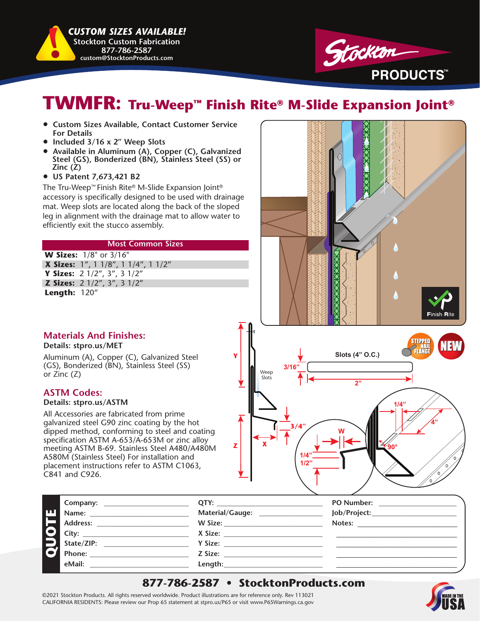*CUSTOM SIZES AVAILABLE!*  **Stockton Custom Fabrication 877-786-2587 custom@StocktonProducts.com**



# **TWMFR: Tru-Weep™ Finish Rite® M-Slide Expansion Joint®**

- **Custom Sizes Available, Contact Customer Service For Details**
- **Included 3/16 x 2" Weep Slots**
- **Available in Aluminum (A), Copper (C), Galvanized Steel (GS), Bonderized (BN), Stainless Steel (SS) or Zinc (Z)**
- **US Patent 7,673,421 B2**

The Tru-Weep™ Finish Rite® M-Slide Expansion Joint® accessory is specifically designed to be used with drainage mat. Weep slots are located along the back of the sloped leg in alignment with the drainage mat to allow water to efficiently exit the stucco assembly.

#### **Most Common Sizes**

**W Sizes:** 1/8" or 3/16"  **X Sizes:** 1", 1 1/8", 1 1/4", 1 1/2" **Y Sizes:** 2 1/2", 3", 3 1/2"  **Z Sizes:** 2 1/2", 3", 3 1/2" **Length:** 120"

### **Materials And Finishes:**

**Details: stpro.us/MET**

Aluminum (A), Copper (C), Galvanized Steel (GS), Bonderized (BN), Stainless Steel (SS) or Zinc (Z)

### **ASTM Codes:**

#### **Details: stpro.us/ASTM**

All Accessories are fabricated from prime galvanized steel G90 zinc coating by the hot dipped method, conforming to steel and coating specification ASTM A-653/A-653M or zinc alloy meeting ASTM B-69. Stainless Steel A480/A480M A580M (Stainless Steel) For installation and placement instructions refer to ASTM C1063, C841 and C926.



|    | Company:        | QTY:            | <b>PO Number:</b> |
|----|-----------------|-----------------|-------------------|
| IШ | Name:           | Material/Gauge: | Job/Project:      |
|    | <b>Address:</b> |                 | Notes:            |
|    | City:           | X Size:         |                   |
|    | State/ZIP:      | Y Size:         |                   |
|    | Phone:          | Z Size:         |                   |
|    | eMail:          | Length:         |                   |

**Z**

**Y**

## **877-786-2587 • StocktonProducts.com**

©2021 Stockton Products. All rights reserved worldwide. Product illustrations are for reference only. Rev 113021 CALIFORNIA RESIDENTS: Please review our Prop 65 statement at stpro.us/P65 or visit www.P65Warnings.ca.gov